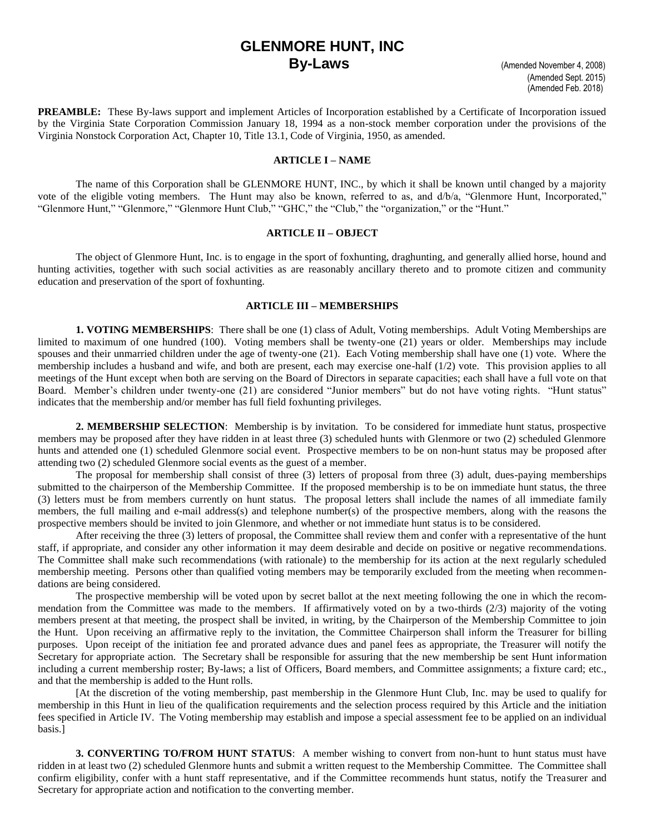# **GLENMORE HUNT, INC By-Laws** (Amended November 4, 2008)

**PREAMBLE:** These By-laws support and implement Articles of Incorporation established by a Certificate of Incorporation issued by the Virginia State Corporation Commission January 18, 1994 as a non-stock member corporation under the provisions of the Virginia Nonstock Corporation Act, Chapter 10, Title 13.1, Code of Virginia, 1950, as amended.

#### **ARTICLE I – NAME**

The name of this Corporation shall be GLENMORE HUNT, INC., by which it shall be known until changed by a majority vote of the eligible voting members. The Hunt may also be known, referred to as, and d/b/a, "Glenmore Hunt, Incorporated," "Glenmore Hunt," "Glenmore," "Glenmore Hunt Club," "GHC," the "Club," the "organization," or the "Hunt."

#### **ARTICLE II – OBJECT**

The object of Glenmore Hunt, Inc. is to engage in the sport of foxhunting, draghunting, and generally allied horse, hound and hunting activities, together with such social activities as are reasonably ancillary thereto and to promote citizen and community education and preservation of the sport of foxhunting.

## **ARTICLE III – MEMBERSHIPS**

**1. VOTING MEMBERSHIPS**: There shall be one (1) class of Adult, Voting memberships. Adult Voting Memberships are limited to maximum of one hundred (100). Voting members shall be twenty-one (21) years or older. Memberships may include spouses and their unmarried children under the age of twenty-one (21). Each Voting membership shall have one (1) vote. Where the membership includes a husband and wife, and both are present, each may exercise one-half (1/2) vote. This provision applies to all meetings of the Hunt except when both are serving on the Board of Directors in separate capacities; each shall have a full vote on that Board. Member's children under twenty-one (21) are considered "Junior members" but do not have voting rights. "Hunt status" indicates that the membership and/or member has full field foxhunting privileges.

**2. MEMBERSHIP SELECTION**: Membership is by invitation. To be considered for immediate hunt status, prospective members may be proposed after they have ridden in at least three (3) scheduled hunts with Glenmore or two (2) scheduled Glenmore hunts and attended one (1) scheduled Glenmore social event. Prospective members to be on non-hunt status may be proposed after attending two (2) scheduled Glenmore social events as the guest of a member.

The proposal for membership shall consist of three (3) letters of proposal from three (3) adult, dues-paying memberships submitted to the chairperson of the Membership Committee. If the proposed membership is to be on immediate hunt status, the three (3) letters must be from members currently on hunt status. The proposal letters shall include the names of all immediate family members, the full mailing and e-mail address(s) and telephone number(s) of the prospective members, along with the reasons the prospective members should be invited to join Glenmore, and whether or not immediate hunt status is to be considered.

After receiving the three (3) letters of proposal, the Committee shall review them and confer with a representative of the hunt staff, if appropriate, and consider any other information it may deem desirable and decide on positive or negative recommendations. The Committee shall make such recommendations (with rationale) to the membership for its action at the next regularly scheduled membership meeting. Persons other than qualified voting members may be temporarily excluded from the meeting when recommendations are being considered.

The prospective membership will be voted upon by secret ballot at the next meeting following the one in which the recommendation from the Committee was made to the members. If affirmatively voted on by a two-thirds (2/3) majority of the voting members present at that meeting, the prospect shall be invited, in writing, by the Chairperson of the Membership Committee to join the Hunt. Upon receiving an affirmative reply to the invitation, the Committee Chairperson shall inform the Treasurer for billing purposes. Upon receipt of the initiation fee and prorated advance dues and panel fees as appropriate, the Treasurer will notify the Secretary for appropriate action. The Secretary shall be responsible for assuring that the new membership be sent Hunt information including a current membership roster; By-laws; a list of Officers, Board members, and Committee assignments; a fixture card; etc., and that the membership is added to the Hunt rolls.

[At the discretion of the voting membership, past membership in the Glenmore Hunt Club, Inc. may be used to qualify for membership in this Hunt in lieu of the qualification requirements and the selection process required by this Article and the initiation fees specified in Article IV. The Voting membership may establish and impose a special assessment fee to be applied on an individual basis.]

**3. CONVERTING TO/FROM HUNT STATUS**: A member wishing to convert from non-hunt to hunt status must have ridden in at least two (2) scheduled Glenmore hunts and submit a written request to the Membership Committee. The Committee shall confirm eligibility, confer with a hunt staff representative, and if the Committee recommends hunt status, notify the Treasurer and Secretary for appropriate action and notification to the converting member.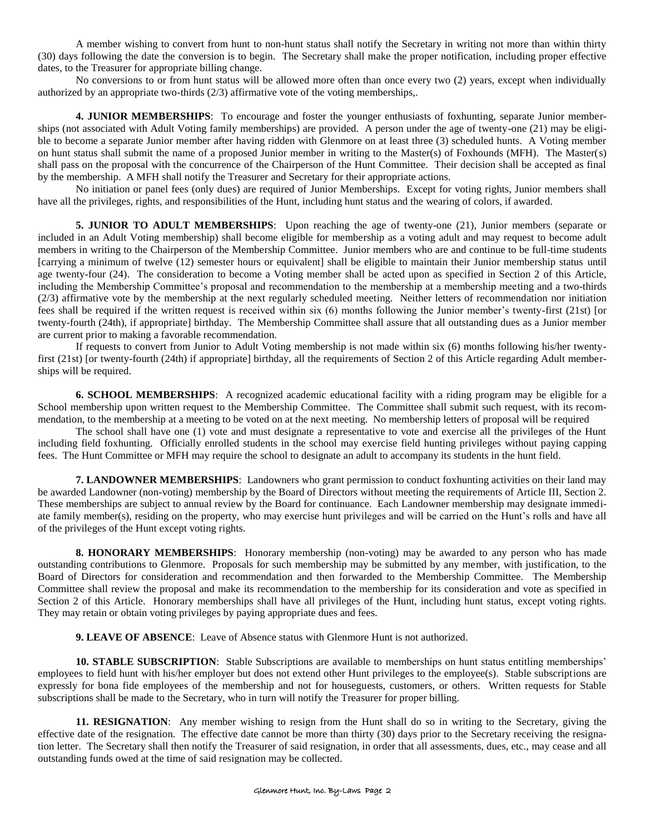A member wishing to convert from hunt to non-hunt status shall notify the Secretary in writing not more than within thirty (30) days following the date the conversion is to begin. The Secretary shall make the proper notification, including proper effective dates, to the Treasurer for appropriate billing change.

No conversions to or from hunt status will be allowed more often than once every two (2) years, except when individually authorized by an appropriate two-thirds (2/3) affirmative vote of the voting memberships,.

**4. JUNIOR MEMBERSHIPS**: To encourage and foster the younger enthusiasts of foxhunting, separate Junior memberships (not associated with Adult Voting family memberships) are provided. A person under the age of twenty-one (21) may be eligible to become a separate Junior member after having ridden with Glenmore on at least three (3) scheduled hunts. A Voting member on hunt status shall submit the name of a proposed Junior member in writing to the Master(s) of Foxhounds (MFH). The Master(s) shall pass on the proposal with the concurrence of the Chairperson of the Hunt Committee. Their decision shall be accepted as final by the membership. A MFH shall notify the Treasurer and Secretary for their appropriate actions.

No initiation or panel fees (only dues) are required of Junior Memberships. Except for voting rights, Junior members shall have all the privileges, rights, and responsibilities of the Hunt, including hunt status and the wearing of colors, if awarded.

**5. JUNIOR TO ADULT MEMBERSHIPS**: Upon reaching the age of twenty-one (21), Junior members (separate or included in an Adult Voting membership) shall become eligible for membership as a voting adult and may request to become adult members in writing to the Chairperson of the Membership Committee. Junior members who are and continue to be full-time students [carrying a minimum of twelve (12) semester hours or equivalent] shall be eligible to maintain their Junior membership status until age twenty-four (24). The consideration to become a Voting member shall be acted upon as specified in Section 2 of this Article, including the Membership Committee's proposal and recommendation to the membership at a membership meeting and a two-thirds (2/3) affirmative vote by the membership at the next regularly scheduled meeting. Neither letters of recommendation nor initiation fees shall be required if the written request is received within six (6) months following the Junior member's twenty-first (21st) [or twenty-fourth (24th), if appropriate] birthday. The Membership Committee shall assure that all outstanding dues as a Junior member are current prior to making a favorable recommendation.

If requests to convert from Junior to Adult Voting membership is not made within six (6) months following his/her twentyfirst (21st) [or twenty-fourth (24th) if appropriate] birthday, all the requirements of Section 2 of this Article regarding Adult memberships will be required.

**6. SCHOOL MEMBERSHIPS**: A recognized academic educational facility with a riding program may be eligible for a School membership upon written request to the Membership Committee. The Committee shall submit such request, with its recommendation, to the membership at a meeting to be voted on at the next meeting. No membership letters of proposal will be required

The school shall have one (1) vote and must designate a representative to vote and exercise all the privileges of the Hunt including field foxhunting. Officially enrolled students in the school may exercise field hunting privileges without paying capping fees. The Hunt Committee or MFH may require the school to designate an adult to accompany its students in the hunt field.

**7. LANDOWNER MEMBERSHIPS**: Landowners who grant permission to conduct foxhunting activities on their land may be awarded Landowner (non-voting) membership by the Board of Directors without meeting the requirements of Article III, Section 2. These memberships are subject to annual review by the Board for continuance. Each Landowner membership may designate immediate family member(s), residing on the property, who may exercise hunt privileges and will be carried on the Hunt's rolls and have all of the privileges of the Hunt except voting rights.

**8. HONORARY MEMBERSHIPS**: Honorary membership (non-voting) may be awarded to any person who has made outstanding contributions to Glenmore. Proposals for such membership may be submitted by any member, with justification, to the Board of Directors for consideration and recommendation and then forwarded to the Membership Committee. The Membership Committee shall review the proposal and make its recommendation to the membership for its consideration and vote as specified in Section 2 of this Article. Honorary memberships shall have all privileges of the Hunt, including hunt status, except voting rights. They may retain or obtain voting privileges by paying appropriate dues and fees.

**9. LEAVE OF ABSENCE**: Leave of Absence status with Glenmore Hunt is not authorized.

**10. STABLE SUBSCRIPTION**: Stable Subscriptions are available to memberships on hunt status entitling memberships' employees to field hunt with his/her employer but does not extend other Hunt privileges to the employee(s). Stable subscriptions are expressly for bona fide employees of the membership and not for houseguests, customers, or others. Written requests for Stable subscriptions shall be made to the Secretary, who in turn will notify the Treasurer for proper billing.

**11. RESIGNATION**: Any member wishing to resign from the Hunt shall do so in writing to the Secretary, giving the effective date of the resignation. The effective date cannot be more than thirty (30) days prior to the Secretary receiving the resignation letter. The Secretary shall then notify the Treasurer of said resignation, in order that all assessments, dues, etc., may cease and all outstanding funds owed at the time of said resignation may be collected.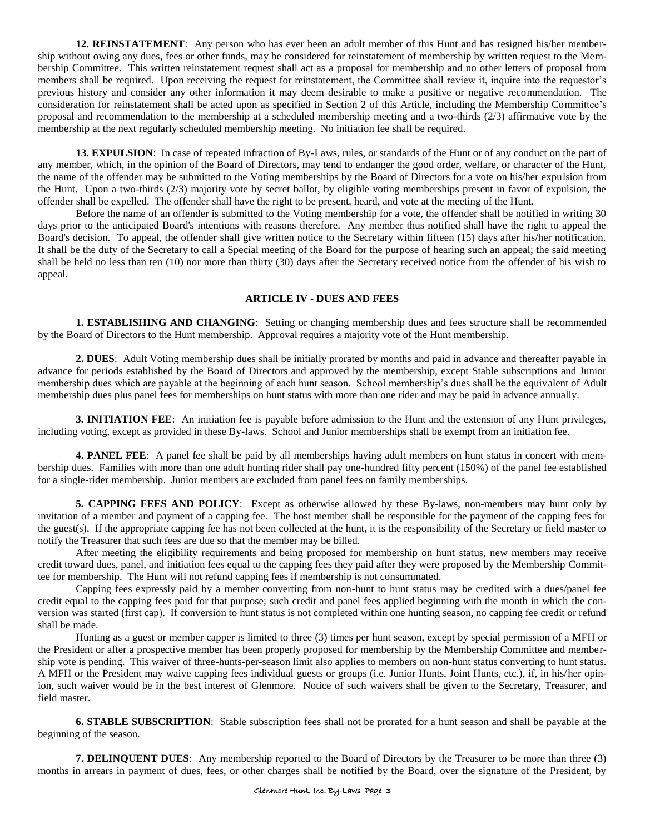**12. REINSTATEMENT**: Any person who has ever been an adult member of this Hunt and has resigned his/her membership without owing any dues, fees or other funds, may be considered for reinstatement of membership by written request to the Membership Committee. This written reinstatement request shall act as a proposal for membership and no other letters of proposal from members shall be required. Upon receiving the request for reinstatement, the Committee shall review it, inquire into the requestor's previous history and consider any other information it may deem desirable to make a positive or negative recommendation. The consideration for reinstatement shall be acted upon as specified in Section 2 of this Article, including the Membership Committee's proposal and recommendation to the membership at a scheduled membership meeting and a two-thirds (2/3) affirmative vote by the membership at the next regularly scheduled membership meeting. No initiation fee shall be required.

**13. EXPULSION**: In case of repeated infraction of By-Laws, rules, or standards of the Hunt or of any conduct on the part of any member, which, in the opinion of the Board of Directors, may tend to endanger the good order, welfare, or character of the Hunt, the name of the offender may be submitted to the Voting memberships by the Board of Directors for a vote on his/her expulsion from the Hunt. Upon a two-thirds (2/3) majority vote by secret ballot, by eligible voting memberships present in favor of expulsion, the offender shall be expelled. The offender shall have the right to be present, heard, and vote at the meeting of the Hunt.

Before the name of an offender is submitted to the Voting membership for a vote, the offender shall be notified in writing 30 days prior to the anticipated Board's intentions with reasons therefore. Any member thus notified shall have the right to appeal the Board's decision. To appeal, the offender shall give written notice to the Secretary within fifteen (15) days after his/her notification. It shall be the duty of the Secretary to call a Special meeting of the Board for the purpose of hearing such an appeal; the said meeting shall be held no less than ten (10) nor more than thirty (30) days after the Secretary received notice from the offender of his wish to appeal.

# **ARTICLE IV - DUES AND FEES**

**1. ESTABLISHING AND CHANGING**: Setting or changing membership dues and fees structure shall be recommended by the Board of Directors to the Hunt membership. Approval requires a majority vote of the Hunt membership.

**2. DUES**: Adult Voting membership dues shall be initially prorated by months and paid in advance and thereafter payable in advance for periods established by the Board of Directors and approved by the membership, except Stable subscriptions and Junior membership dues which are payable at the beginning of each hunt season. School membership's dues shall be the equivalent of Adult membership dues plus panel fees for memberships on hunt status with more than one rider and may be paid in advance annually.

**3. INITIATION FEE**: An initiation fee is payable before admission to the Hunt and the extension of any Hunt privileges, including voting, except as provided in these By-laws. School and Junior memberships shall be exempt from an initiation fee.

**4. PANEL FEE**: A panel fee shall be paid by all memberships having adult members on hunt status in concert with membership dues. Families with more than one adult hunting rider shall pay one-hundred fifty percent (150%) of the panel fee established for a single-rider membership. Junior members are excluded from panel fees on family memberships.

**5. CAPPING FEES AND POLICY**: Except as otherwise allowed by these By-laws, non-members may hunt only by invitation of a member and payment of a capping fee. The host member shall be responsible for the payment of the capping fees for the guest(s). If the appropriate capping fee has not been collected at the hunt, it is the responsibility of the Secretary or field master to notify the Treasurer that such fees are due so that the member may be billed.

After meeting the eligibility requirements and being proposed for membership on hunt status, new members may receive credit toward dues, panel, and initiation fees equal to the capping fees they paid after they were proposed by the Membership Committee for membership. The Hunt will not refund capping fees if membership is not consummated.

Capping fees expressly paid by a member converting from non-hunt to hunt status may be credited with a dues/panel fee credit equal to the capping fees paid for that purpose; such credit and panel fees applied beginning with the month in which the conversion was started (first cap). If conversion to hunt status is not completed within one hunting season, no capping fee credit or refund shall be made.

 Hunting as a guest or member capper is limited to three (3) times per hunt season, except by special permission of a MFH or the President or after a prospective member has been properly proposed for membership by the Membership Committee and membership vote is pending. This waiver of three-hunts-per-season limit also applies to members on non-hunt status converting to hunt status. A MFH or the President may waive capping fees individual guests or groups (i.e. Junior Hunts, Joint Hunts, etc.), if, in his/her opinion, such waiver would be in the best interest of Glenmore. Notice of such waivers shall be given to the Secretary, Treasurer, and field master.

**6. STABLE SUBSCRIPTION**: Stable subscription fees shall not be prorated for a hunt season and shall be payable at the beginning of the season.

**7. DELINQUENT DUES**: Any membership reported to the Board of Directors by the Treasurer to be more than three (3) months in arrears in payment of dues, fees, or other charges shall be notified by the Board, over the signature of the President, by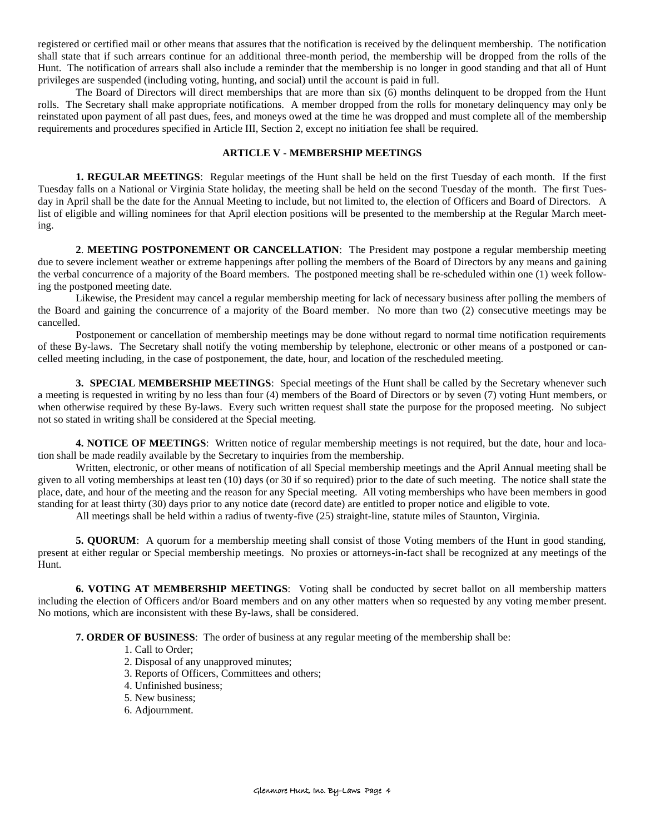registered or certified mail or other means that assures that the notification is received by the delinquent membership. The notification shall state that if such arrears continue for an additional three-month period, the membership will be dropped from the rolls of the Hunt. The notification of arrears shall also include a reminder that the membership is no longer in good standing and that all of Hunt privileges are suspended (including voting, hunting, and social) until the account is paid in full.

The Board of Directors will direct memberships that are more than six (6) months delinquent to be dropped from the Hunt rolls. The Secretary shall make appropriate notifications. A member dropped from the rolls for monetary delinquency may only be reinstated upon payment of all past dues, fees, and moneys owed at the time he was dropped and must complete all of the membership requirements and procedures specified in Article III, Section 2, except no initiation fee shall be required.

# **ARTICLE V - MEMBERSHIP MEETINGS**

**1. REGULAR MEETINGS**: Regular meetings of the Hunt shall be held on the first Tuesday of each month. If the first Tuesday falls on a National or Virginia State holiday, the meeting shall be held on the second Tuesday of the month. The first Tuesday in April shall be the date for the Annual Meeting to include, but not limited to, the election of Officers and Board of Directors. A list of eligible and willing nominees for that April election positions will be presented to the membership at the Regular March meeting.

**2**. **MEETING POSTPONEMENT OR CANCELLATION**: The President may postpone a regular membership meeting due to severe inclement weather or extreme happenings after polling the members of the Board of Directors by any means and gaining the verbal concurrence of a majority of the Board members. The postponed meeting shall be re-scheduled within one (1) week following the postponed meeting date.

Likewise, the President may cancel a regular membership meeting for lack of necessary business after polling the members of the Board and gaining the concurrence of a majority of the Board member. No more than two (2) consecutive meetings may be cancelled.

Postponement or cancellation of membership meetings may be done without regard to normal time notification requirements of these By-laws. The Secretary shall notify the voting membership by telephone, electronic or other means of a postponed or cancelled meeting including, in the case of postponement, the date, hour, and location of the rescheduled meeting.

**3. SPECIAL MEMBERSHIP MEETINGS**: Special meetings of the Hunt shall be called by the Secretary whenever such a meeting is requested in writing by no less than four (4) members of the Board of Directors or by seven (7) voting Hunt members, or when otherwise required by these By-laws. Every such written request shall state the purpose for the proposed meeting. No subject not so stated in writing shall be considered at the Special meeting.

**4. NOTICE OF MEETINGS**: Written notice of regular membership meetings is not required, but the date, hour and location shall be made readily available by the Secretary to inquiries from the membership.

Written, electronic, or other means of notification of all Special membership meetings and the April Annual meeting shall be given to all voting memberships at least ten (10) days (or 30 if so required) prior to the date of such meeting. The notice shall state the place, date, and hour of the meeting and the reason for any Special meeting. All voting memberships who have been members in good standing for at least thirty (30) days prior to any notice date (record date) are entitled to proper notice and eligible to vote.

All meetings shall be held within a radius of twenty-five (25) straight-line, statute miles of Staunton, Virginia.

**5. QUORUM:** A quorum for a membership meeting shall consist of those Voting members of the Hunt in good standing, present at either regular or Special membership meetings. No proxies or attorneys-in-fact shall be recognized at any meetings of the Hunt.

**6. VOTING AT MEMBERSHIP MEETINGS**: Voting shall be conducted by secret ballot on all membership matters including the election of Officers and/or Board members and on any other matters when so requested by any voting member present. No motions, which are inconsistent with these By-laws, shall be considered.

**7. ORDER OF BUSINESS**: The order of business at any regular meeting of the membership shall be:

- 1. Call to Order;
- 2. Disposal of any unapproved minutes;
- 3. Reports of Officers, Committees and others;
- 4. Unfinished business;
- 5. New business;
- 6. Adjournment.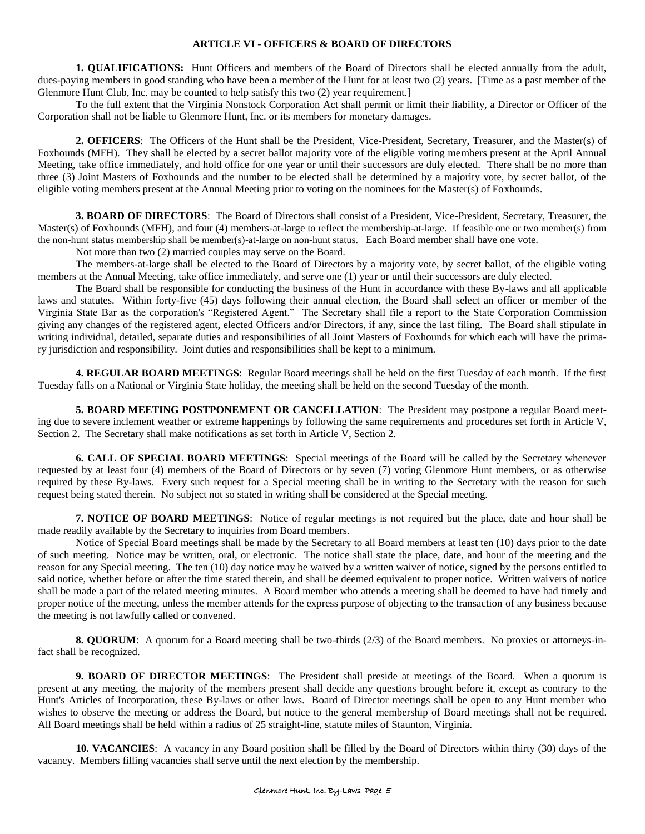## **ARTICLE VI - OFFICERS & BOARD OF DIRECTORS**

**1. QUALIFICATIONS:** Hunt Officers and members of the Board of Directors shall be elected annually from the adult, dues-paying members in good standing who have been a member of the Hunt for at least two (2) years. [Time as a past member of the Glenmore Hunt Club, Inc. may be counted to help satisfy this two (2) year requirement.

To the full extent that the Virginia Nonstock Corporation Act shall permit or limit their liability, a Director or Officer of the Corporation shall not be liable to Glenmore Hunt, Inc. or its members for monetary damages.

**2. OFFICERS**: The Officers of the Hunt shall be the President, Vice-President, Secretary, Treasurer, and the Master(s) of Foxhounds (MFH). They shall be elected by a secret ballot majority vote of the eligible voting members present at the April Annual Meeting, take office immediately, and hold office for one year or until their successors are duly elected. There shall be no more than three (3) Joint Masters of Foxhounds and the number to be elected shall be determined by a majority vote, by secret ballot, of the eligible voting members present at the Annual Meeting prior to voting on the nominees for the Master(s) of Foxhounds.

**3. BOARD OF DIRECTORS**: The Board of Directors shall consist of a President, Vice-President, Secretary, Treasurer, the Master(s) of Foxhounds (MFH), and four (4) members-at-large to reflect the membership-at-large. If feasible one or two member(s) from the non-hunt status membership shall be member(s)-at-large on non-hunt status. Each Board member shall have one vote.

Not more than two (2) married couples may serve on the Board.

The members-at-large shall be elected to the Board of Directors by a majority vote, by secret ballot, of the eligible voting members at the Annual Meeting, take office immediately, and serve one (1) year or until their successors are duly elected.

The Board shall be responsible for conducting the business of the Hunt in accordance with these By-laws and all applicable laws and statutes. Within forty-five (45) days following their annual election, the Board shall select an officer or member of the Virginia State Bar as the corporation's "Registered Agent." The Secretary shall file a report to the State Corporation Commission giving any changes of the registered agent, elected Officers and/or Directors, if any, since the last filing. The Board shall stipulate in writing individual, detailed, separate duties and responsibilities of all Joint Masters of Foxhounds for which each will have the primary jurisdiction and responsibility. Joint duties and responsibilities shall be kept to a minimum.

**4. REGULAR BOARD MEETINGS**: Regular Board meetings shall be held on the first Tuesday of each month. If the first Tuesday falls on a National or Virginia State holiday, the meeting shall be held on the second Tuesday of the month.

**5. BOARD MEETING POSTPONEMENT OR CANCELLATION**: The President may postpone a regular Board meeting due to severe inclement weather or extreme happenings by following the same requirements and procedures set forth in Article V, Section 2. The Secretary shall make notifications as set forth in Article V, Section 2.

**6. CALL OF SPECIAL BOARD MEETINGS**: Special meetings of the Board will be called by the Secretary whenever requested by at least four (4) members of the Board of Directors or by seven (7) voting Glenmore Hunt members, or as otherwise required by these By-laws. Every such request for a Special meeting shall be in writing to the Secretary with the reason for such request being stated therein. No subject not so stated in writing shall be considered at the Special meeting.

**7. NOTICE OF BOARD MEETINGS**: Notice of regular meetings is not required but the place, date and hour shall be made readily available by the Secretary to inquiries from Board members.

Notice of Special Board meetings shall be made by the Secretary to all Board members at least ten (10) days prior to the date of such meeting. Notice may be written, oral, or electronic. The notice shall state the place, date, and hour of the meeting and the reason for any Special meeting. The ten (10) day notice may be waived by a written waiver of notice, signed by the persons entitled to said notice, whether before or after the time stated therein, and shall be deemed equivalent to proper notice. Written waivers of notice shall be made a part of the related meeting minutes. A Board member who attends a meeting shall be deemed to have had timely and proper notice of the meeting, unless the member attends for the express purpose of objecting to the transaction of any business because the meeting is not lawfully called or convened.

**8. QUORUM**: A quorum for a Board meeting shall be two-thirds (2/3) of the Board members. No proxies or attorneys-infact shall be recognized.

**9. BOARD OF DIRECTOR MEETINGS**: The President shall preside at meetings of the Board. When a quorum is present at any meeting, the majority of the members present shall decide any questions brought before it, except as contrary to the Hunt's Articles of Incorporation, these By-laws or other laws. Board of Director meetings shall be open to any Hunt member who wishes to observe the meeting or address the Board, but notice to the general membership of Board meetings shall not be required. All Board meetings shall be held within a radius of 25 straight-line, statute miles of Staunton, Virginia.

**10. VACANCIES**: A vacancy in any Board position shall be filled by the Board of Directors within thirty (30) days of the vacancy. Members filling vacancies shall serve until the next election by the membership.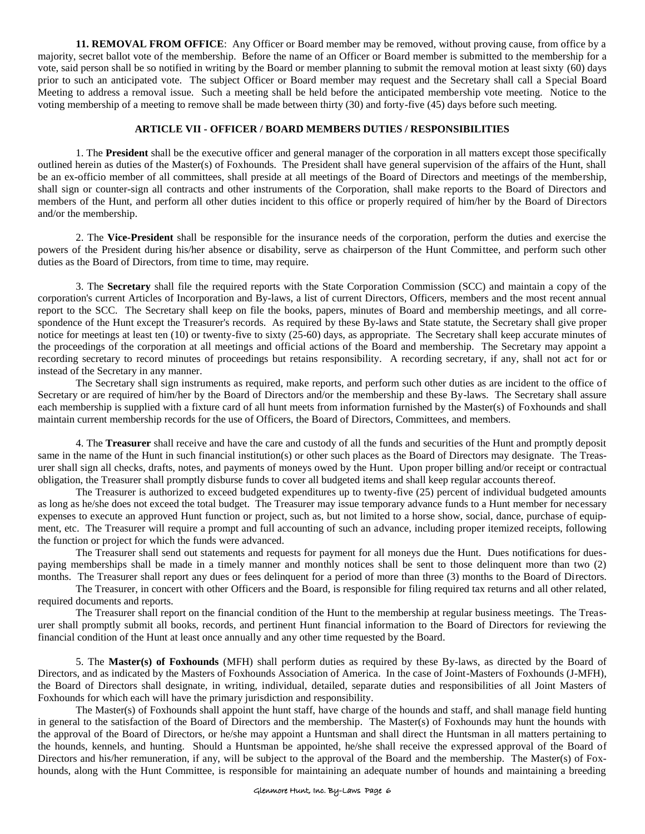**11. REMOVAL FROM OFFICE**: Any Officer or Board member may be removed, without proving cause, from office by a majority, secret ballot vote of the membership. Before the name of an Officer or Board member is submitted to the membership for a vote, said person shall be so notified in writing by the Board or member planning to submit the removal motion at least sixty (60) days prior to such an anticipated vote. The subject Officer or Board member may request and the Secretary shall call a Special Board Meeting to address a removal issue. Such a meeting shall be held before the anticipated membership vote meeting. Notice to the voting membership of a meeting to remove shall be made between thirty (30) and forty-five (45) days before such meeting.

# **ARTICLE VII - OFFICER / BOARD MEMBERS DUTIES / RESPONSIBILITIES**

1. The **President** shall be the executive officer and general manager of the corporation in all matters except those specifically outlined herein as duties of the Master(s) of Foxhounds. The President shall have general supervision of the affairs of the Hunt, shall be an ex-officio member of all committees, shall preside at all meetings of the Board of Directors and meetings of the membership, shall sign or counter-sign all contracts and other instruments of the Corporation, shall make reports to the Board of Directors and members of the Hunt, and perform all other duties incident to this office or properly required of him/her by the Board of Directors and/or the membership.

2. The **Vice-President** shall be responsible for the insurance needs of the corporation, perform the duties and exercise the powers of the President during his/her absence or disability, serve as chairperson of the Hunt Committee, and perform such other duties as the Board of Directors, from time to time, may require.

3. The **Secretary** shall file the required reports with the State Corporation Commission (SCC) and maintain a copy of the corporation's current Articles of Incorporation and By-laws, a list of current Directors, Officers, members and the most recent annual report to the SCC. The Secretary shall keep on file the books, papers, minutes of Board and membership meetings, and all correspondence of the Hunt except the Treasurer's records. As required by these By-laws and State statute, the Secretary shall give proper notice for meetings at least ten (10) or twenty-five to sixty (25-60) days, as appropriate. The Secretary shall keep accurate minutes of the proceedings of the corporation at all meetings and official actions of the Board and membership. The Secretary may appoint a recording secretary to record minutes of proceedings but retains responsibility. A recording secretary, if any, shall not act for or instead of the Secretary in any manner.

The Secretary shall sign instruments as required, make reports, and perform such other duties as are incident to the office of Secretary or are required of him/her by the Board of Directors and/or the membership and these By-laws. The Secretary shall assure each membership is supplied with a fixture card of all hunt meets from information furnished by the Master(s) of Foxhounds and shall maintain current membership records for the use of Officers, the Board of Directors, Committees, and members.

4. The **Treasurer** shall receive and have the care and custody of all the funds and securities of the Hunt and promptly deposit same in the name of the Hunt in such financial institution(s) or other such places as the Board of Directors may designate. The Treasurer shall sign all checks, drafts, notes, and payments of moneys owed by the Hunt. Upon proper billing and/or receipt or contractual obligation, the Treasurer shall promptly disburse funds to cover all budgeted items and shall keep regular accounts thereof.

The Treasurer is authorized to exceed budgeted expenditures up to twenty-five (25) percent of individual budgeted amounts as long as he/she does not exceed the total budget. The Treasurer may issue temporary advance funds to a Hunt member for necessary expenses to execute an approved Hunt function or project, such as, but not limited to a horse show, social, dance, purchase of equipment, etc. The Treasurer will require a prompt and full accounting of such an advance, including proper itemized receipts, following the function or project for which the funds were advanced.

The Treasurer shall send out statements and requests for payment for all moneys due the Hunt. Dues notifications for duespaying memberships shall be made in a timely manner and monthly notices shall be sent to those delinquent more than two (2) months. The Treasurer shall report any dues or fees delinquent for a period of more than three (3) months to the Board of Directors.

The Treasurer, in concert with other Officers and the Board, is responsible for filing required tax returns and all other related, required documents and reports.

The Treasurer shall report on the financial condition of the Hunt to the membership at regular business meetings. The Treasurer shall promptly submit all books, records, and pertinent Hunt financial information to the Board of Directors for reviewing the financial condition of the Hunt at least once annually and any other time requested by the Board.

5. The **Master(s) of Foxhounds** (MFH) shall perform duties as required by these By-laws, as directed by the Board of Directors, and as indicated by the Masters of Foxhounds Association of America. In the case of Joint-Masters of Foxhounds (J-MFH), the Board of Directors shall designate, in writing, individual, detailed, separate duties and responsibilities of all Joint Masters of Foxhounds for which each will have the primary jurisdiction and responsibility.

The Master(s) of Foxhounds shall appoint the hunt staff, have charge of the hounds and staff, and shall manage field hunting in general to the satisfaction of the Board of Directors and the membership. The Master(s) of Foxhounds may hunt the hounds with the approval of the Board of Directors, or he/she may appoint a Huntsman and shall direct the Huntsman in all matters pertaining to the hounds, kennels, and hunting. Should a Huntsman be appointed, he/she shall receive the expressed approval of the Board of Directors and his/her remuneration, if any, will be subject to the approval of the Board and the membership. The Master(s) of Foxhounds, along with the Hunt Committee, is responsible for maintaining an adequate number of hounds and maintaining a breeding

## Glenmore Hunt, Inc. By-Laws Page 6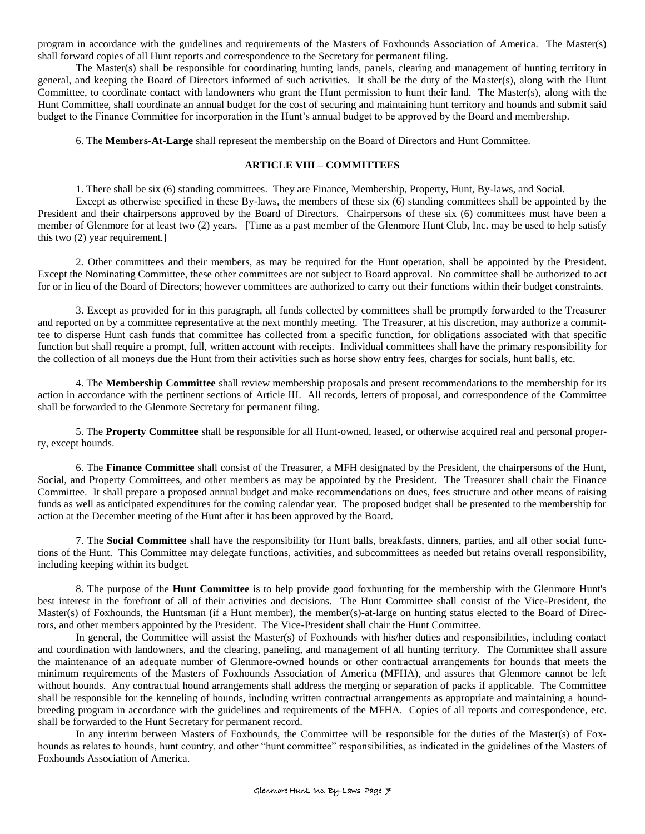program in accordance with the guidelines and requirements of the Masters of Foxhounds Association of America. The Master(s) shall forward copies of all Hunt reports and correspondence to the Secretary for permanent filing.

The Master(s) shall be responsible for coordinating hunting lands, panels, clearing and management of hunting territory in general, and keeping the Board of Directors informed of such activities. It shall be the duty of the Master(s), along with the Hunt Committee, to coordinate contact with landowners who grant the Hunt permission to hunt their land. The Master(s), along with the Hunt Committee, shall coordinate an annual budget for the cost of securing and maintaining hunt territory and hounds and submit said budget to the Finance Committee for incorporation in the Hunt's annual budget to be approved by the Board and membership.

6. The **Members-At-Large** shall represent the membership on the Board of Directors and Hunt Committee.

# **ARTICLE VIII – COMMITTEES**

1. There shall be six (6) standing committees. They are Finance, Membership, Property, Hunt, By-laws, and Social.

Except as otherwise specified in these By-laws, the members of these six (6) standing committees shall be appointed by the President and their chairpersons approved by the Board of Directors. Chairpersons of these six (6) committees must have been a member of Glenmore for at least two (2) years. [Time as a past member of the Glenmore Hunt Club, Inc. may be used to help satisfy this two (2) year requirement.]

2. Other committees and their members, as may be required for the Hunt operation, shall be appointed by the President. Except the Nominating Committee, these other committees are not subject to Board approval. No committee shall be authorized to act for or in lieu of the Board of Directors; however committees are authorized to carry out their functions within their budget constraints.

3. Except as provided for in this paragraph, all funds collected by committees shall be promptly forwarded to the Treasurer and reported on by a committee representative at the next monthly meeting. The Treasurer, at his discretion, may authorize a committee to disperse Hunt cash funds that committee has collected from a specific function, for obligations associated with that specific function but shall require a prompt, full, written account with receipts. Individual committees shall have the primary responsibility for the collection of all moneys due the Hunt from their activities such as horse show entry fees, charges for socials, hunt balls, etc.

4. The **Membership Committee** shall review membership proposals and present recommendations to the membership for its action in accordance with the pertinent sections of Article III. All records, letters of proposal, and correspondence of the Committee shall be forwarded to the Glenmore Secretary for permanent filing.

5. The **Property Committee** shall be responsible for all Hunt-owned, leased, or otherwise acquired real and personal property, except hounds.

6. The **Finance Committee** shall consist of the Treasurer, a MFH designated by the President, the chairpersons of the Hunt, Social, and Property Committees, and other members as may be appointed by the President. The Treasurer shall chair the Finance Committee. It shall prepare a proposed annual budget and make recommendations on dues, fees structure and other means of raising funds as well as anticipated expenditures for the coming calendar year. The proposed budget shall be presented to the membership for action at the December meeting of the Hunt after it has been approved by the Board.

7. The **Social Committee** shall have the responsibility for Hunt balls, breakfasts, dinners, parties, and all other social functions of the Hunt. This Committee may delegate functions, activities, and subcommittees as needed but retains overall responsibility, including keeping within its budget.

8. The purpose of the **Hunt Committee** is to help provide good foxhunting for the membership with the Glenmore Hunt's best interest in the forefront of all of their activities and decisions. The Hunt Committee shall consist of the Vice-President, the Master(s) of Foxhounds, the Huntsman (if a Hunt member), the member(s)-at-large on hunting status elected to the Board of Directors, and other members appointed by the President. The Vice-President shall chair the Hunt Committee.

In general, the Committee will assist the Master(s) of Foxhounds with his/her duties and responsibilities, including contact and coordination with landowners, and the clearing, paneling, and management of all hunting territory. The Committee shall assure the maintenance of an adequate number of Glenmore-owned hounds or other contractual arrangements for hounds that meets the minimum requirements of the Masters of Foxhounds Association of America (MFHA), and assures that Glenmore cannot be left without hounds. Any contractual hound arrangements shall address the merging or separation of packs if applicable. The Committee shall be responsible for the kenneling of hounds, including written contractual arrangements as appropriate and maintaining a houndbreeding program in accordance with the guidelines and requirements of the MFHA. Copies of all reports and correspondence, etc. shall be forwarded to the Hunt Secretary for permanent record.

In any interim between Masters of Foxhounds, the Committee will be responsible for the duties of the Master(s) of Foxhounds as relates to hounds, hunt country, and other "hunt committee" responsibilities, as indicated in the guidelines of the Masters of Foxhounds Association of America.